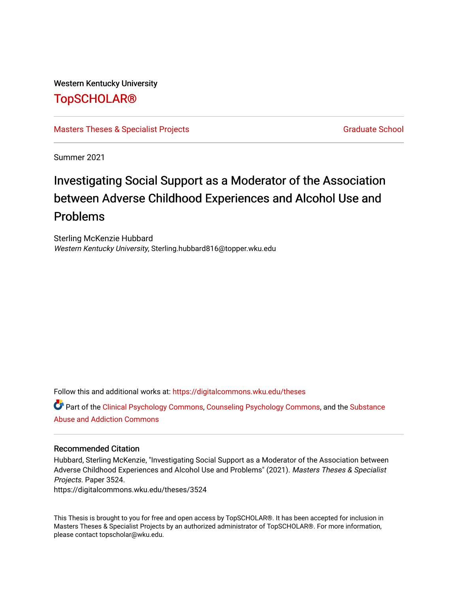# Western Kentucky University

# [TopSCHOLAR®](https://digitalcommons.wku.edu/)

[Masters Theses & Specialist Projects](https://digitalcommons.wku.edu/theses) [Graduate School](https://digitalcommons.wku.edu/Graduate) Craduate School Craduate School

Summer 2021

# Investigating Social Support as a Moderator of the Association between Adverse Childhood Experiences and Alcohol Use and Problems

Sterling McKenzie Hubbard Western Kentucky University, Sterling.hubbard816@topper.wku.edu

Follow this and additional works at: [https://digitalcommons.wku.edu/theses](https://digitalcommons.wku.edu/theses?utm_source=digitalcommons.wku.edu%2Ftheses%2F3524&utm_medium=PDF&utm_campaign=PDFCoverPages) 

Part of the [Clinical Psychology Commons,](http://network.bepress.com/hgg/discipline/406?utm_source=digitalcommons.wku.edu%2Ftheses%2F3524&utm_medium=PDF&utm_campaign=PDFCoverPages) [Counseling Psychology Commons](http://network.bepress.com/hgg/discipline/1044?utm_source=digitalcommons.wku.edu%2Ftheses%2F3524&utm_medium=PDF&utm_campaign=PDFCoverPages), and the [Substance](http://network.bepress.com/hgg/discipline/710?utm_source=digitalcommons.wku.edu%2Ftheses%2F3524&utm_medium=PDF&utm_campaign=PDFCoverPages)  [Abuse and Addiction Commons](http://network.bepress.com/hgg/discipline/710?utm_source=digitalcommons.wku.edu%2Ftheses%2F3524&utm_medium=PDF&utm_campaign=PDFCoverPages) 

#### Recommended Citation

Hubbard, Sterling McKenzie, "Investigating Social Support as a Moderator of the Association between Adverse Childhood Experiences and Alcohol Use and Problems" (2021). Masters Theses & Specialist Projects. Paper 3524.

https://digitalcommons.wku.edu/theses/3524

This Thesis is brought to you for free and open access by TopSCHOLAR®. It has been accepted for inclusion in Masters Theses & Specialist Projects by an authorized administrator of TopSCHOLAR®. For more information, please contact topscholar@wku.edu.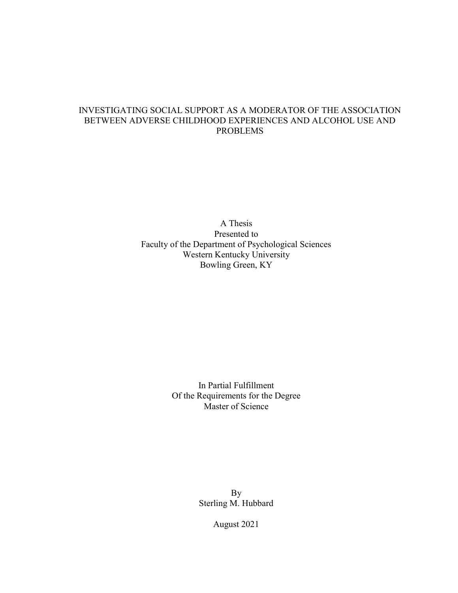# INVESTIGATING SOCIAL SUPPORT AS A MODERATOR OF THE ASSOCIATION BETWEEN ADVERSE CHILDHOOD EXPERIENCES AND ALCOHOL USE AND PROBLEMS

A Thesis Presented to Faculty of the Department of Psychological Sciences Western Kentucky University Bowling Green, KY

> In Partial Fulfillment Of the Requirements for the Degree Master of Science

> > By Sterling M. Hubbard

> > > August 2021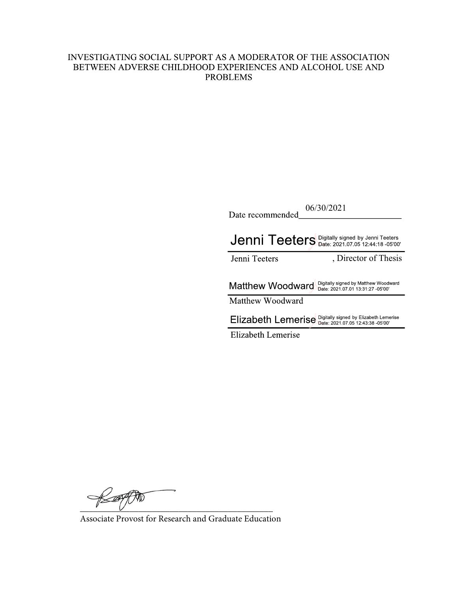# INVESTIGATING SOCIAL SUPPORT AS A MODERATOR OF THE ASSOCIATION BETWEEN ADVERSE CHILDHOOD EXPERIENCES AND ALCOHOL USE AND **PROBLEMS**

| 06/30/2021<br>Date recommended                                                                           |
|----------------------------------------------------------------------------------------------------------|
| Jenni Teeters Digitally signed by Jenni Teeters                                                          |
| , Director of Thesis<br>Jenni Teeters                                                                    |
| Digitally signed by Matthew Woodward<br>Matthew Woodward<br>Date: 2021.07.01 13:31:27 -05'00'            |
| Matthew Woodward                                                                                         |
| Digitally signed by Elizabeth Lemerise<br>Date: 2021.07.05 12:43:38 -05'00'<br><b>Elizabeth Lemerise</b> |
| Elizabeth Lemerise                                                                                       |

 $\overline{a}$ 

Associate Provost for Research and Graduate Education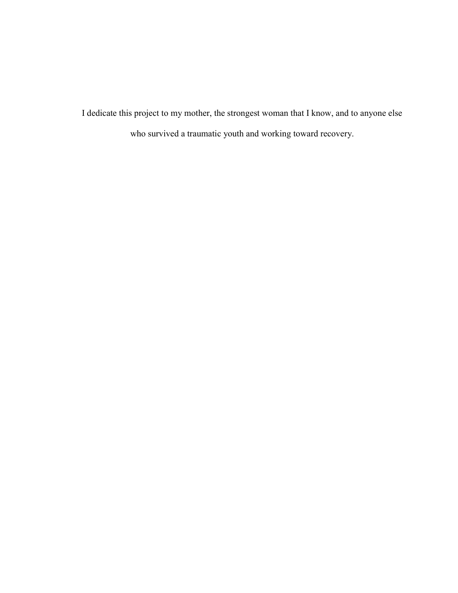I dedicate this project to my mother, the strongest woman that I know, and to anyone else who survived a traumatic youth and working toward recovery.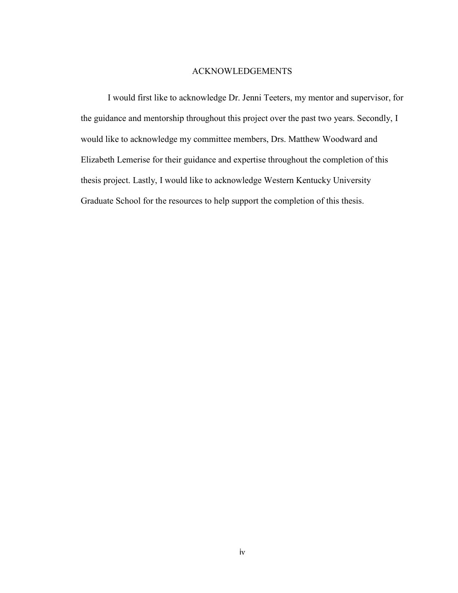#### ACKNOWLEDGEMENTS

I would first like to acknowledge Dr. Jenni Teeters, my mentor and supervisor, for the guidance and mentorship throughout this project over the past two years. Secondly, I would like to acknowledge my committee members, Drs. Matthew Woodward and Elizabeth Lemerise for their guidance and expertise throughout the completion of this thesis project. Lastly, I would like to acknowledge Western Kentucky University Graduate School for the resources to help support the completion of this thesis.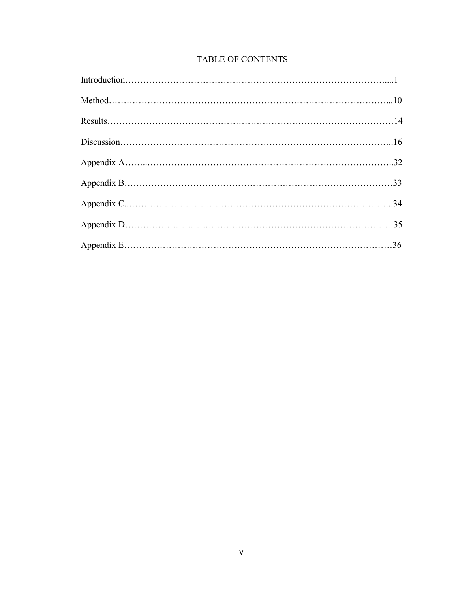# TABLE OF CONTENTS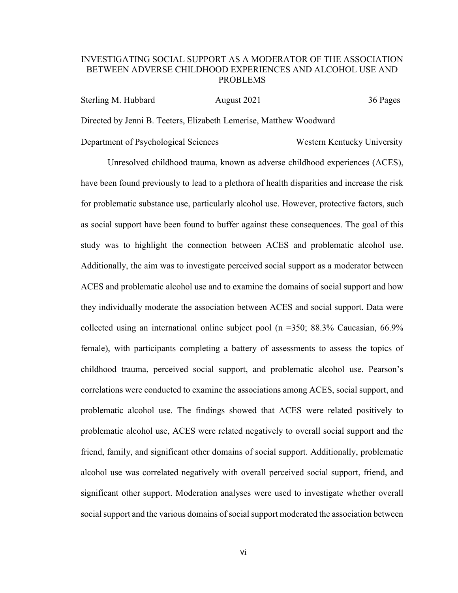## INVESTIGATING SOCIAL SUPPORT AS A MODERATOR OF THE ASSOCIATION BETWEEN ADVERSE CHILDHOOD EXPERIENCES AND ALCOHOL USE AND PROBLEMS

| Sterling M. Hubbard | August 2021 | 36 Pages |
|---------------------|-------------|----------|
|---------------------|-------------|----------|

Directed by Jenni B. Teeters, Elizabeth Lemerise, Matthew Woodward

Department of Psychological Sciences Western Kentucky University

Unresolved childhood trauma, known as adverse childhood experiences (ACES), have been found previously to lead to a plethora of health disparities and increase the risk for problematic substance use, particularly alcohol use. However, protective factors, such as social support have been found to buffer against these consequences. The goal of this study was to highlight the connection between ACES and problematic alcohol use. Additionally, the aim was to investigate perceived social support as a moderator between ACES and problematic alcohol use and to examine the domains of social support and how they individually moderate the association between ACES and social support. Data were collected using an international online subject pool ( $n = 350$ ; 88.3% Caucasian, 66.9% female), with participants completing a battery of assessments to assess the topics of childhood trauma, perceived social support, and problematic alcohol use. Pearson's correlations were conducted to examine the associations among ACES, social support, and problematic alcohol use. The findings showed that ACES were related positively to problematic alcohol use, ACES were related negatively to overall social support and the friend, family, and significant other domains of social support. Additionally, problematic alcohol use was correlated negatively with overall perceived social support, friend, and significant other support. Moderation analyses were used to investigate whether overall social support and the various domains of social support moderated the association between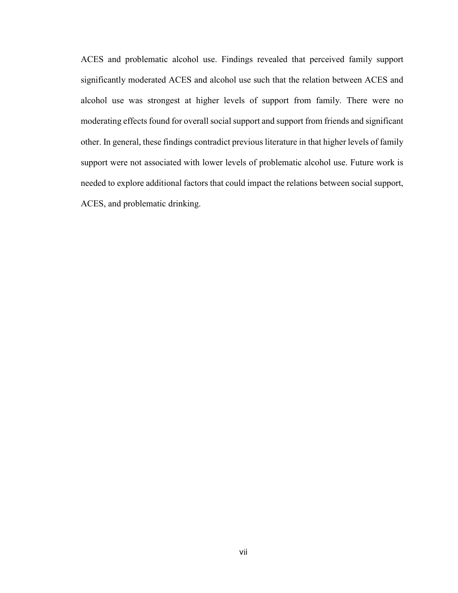ACES and problematic alcohol use. Findings revealed that perceived family support significantly moderated ACES and alcohol use such that the relation between ACES and alcohol use was strongest at higher levels of support from family. There were no moderating effects found for overall social support and support from friends and significant other. In general, these findings contradict previous literature in that higher levels of family support were not associated with lower levels of problematic alcohol use. Future work is needed to explore additional factors that could impact the relations between social support, ACES, and problematic drinking.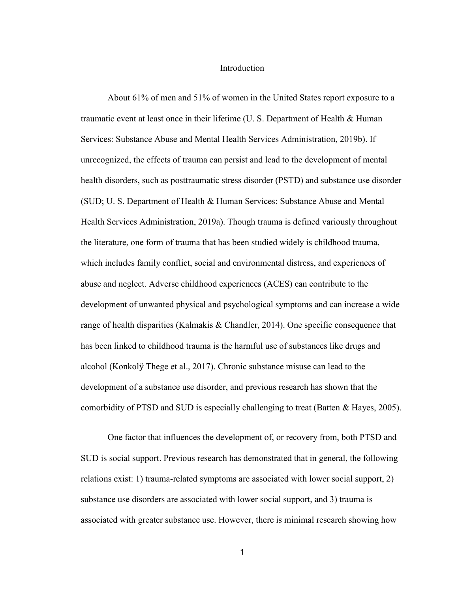#### Introduction

About 61% of men and 51% of women in the United States report exposure to a traumatic event at least once in their lifetime (U. S. Department of Health & Human Services: Substance Abuse and Mental Health Services Administration, 2019b). If unrecognized, the effects of trauma can persist and lead to the development of mental health disorders, such as posttraumatic stress disorder (PSTD) and substance use disorder (SUD; U. S. Department of Health & Human Services: Substance Abuse and Mental Health Services Administration, 2019a). Though trauma is defined variously throughout the literature, one form of trauma that has been studied widely is childhood trauma, which includes family conflict, social and environmental distress, and experiences of abuse and neglect. Adverse childhood experiences (ACES) can contribute to the development of unwanted physical and psychological symptoms and can increase a wide range of health disparities (Kalmakis & Chandler, 2014). One specific consequence that has been linked to childhood trauma is the harmful use of substances like drugs and alcohol (Konkolÿ Thege et al., 2017). Chronic substance misuse can lead to the development of a substance use disorder, and previous research has shown that the comorbidity of PTSD and SUD is especially challenging to treat (Batten & Hayes, 2005).

One factor that influences the development of, or recovery from, both PTSD and SUD is social support. Previous research has demonstrated that in general, the following relations exist: 1) trauma-related symptoms are associated with lower social support, 2) substance use disorders are associated with lower social support, and 3) trauma is associated with greater substance use. However, there is minimal research showing how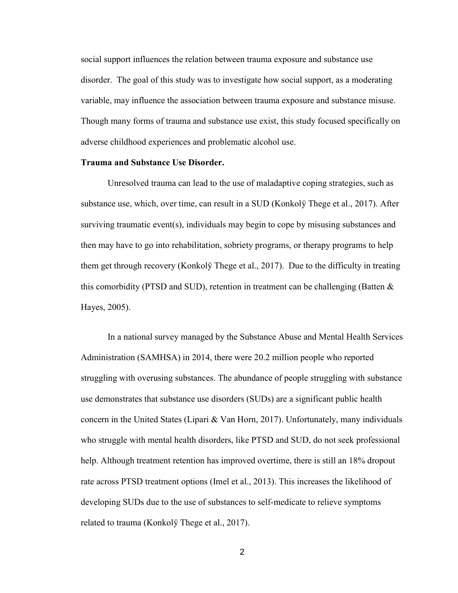social support influences the relation between trauma exposure and substance use disorder. The goal of this study was to investigate how social support, as a moderating variable, may influence the association between trauma exposure and substance misuse. Though many forms of trauma and substance use exist, this study focused specifically on adverse childhood experiences and problematic alcohol use.

#### Trauma and Substance Use Disorder.

Unresolved trauma can lead to the use of maladaptive coping strategies, such as substance use, which, over time, can result in a SUD (Konkolÿ Thege et al., 2017). After surviving traumatic event(s), individuals may begin to cope by misusing substances and then may have to go into rehabilitation, sobriety programs, or therapy programs to help them get through recovery (Konkolÿ Thege et al., 2017). Due to the difficulty in treating this comorbidity (PTSD and SUD), retention in treatment can be challenging (Batten  $\&$ Hayes, 2005).

In a national survey managed by the Substance Abuse and Mental Health Services Administration (SAMHSA) in 2014, there were 20.2 million people who reported struggling with overusing substances. The abundance of people struggling with substance use demonstrates that substance use disorders (SUDs) are a significant public health concern in the United States (Lipari & Van Horn, 2017). Unfortunately, many individuals who struggle with mental health disorders, like PTSD and SUD, do not seek professional help. Although treatment retention has improved overtime, there is still an 18% dropout rate across PTSD treatment options (Imel et al., 2013). This increases the likelihood of developing SUDs due to the use of substances to self-medicate to relieve symptoms related to trauma (Konkolÿ Thege et al., 2017).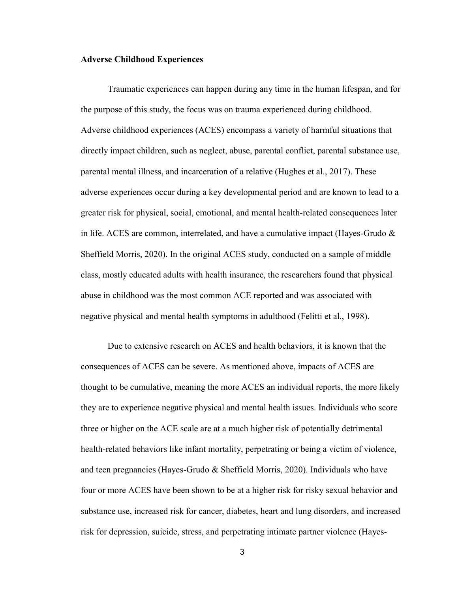#### Adverse Childhood Experiences

Traumatic experiences can happen during any time in the human lifespan, and for the purpose of this study, the focus was on trauma experienced during childhood. Adverse childhood experiences (ACES) encompass a variety of harmful situations that directly impact children, such as neglect, abuse, parental conflict, parental substance use, parental mental illness, and incarceration of a relative (Hughes et al., 2017). These adverse experiences occur during a key developmental period and are known to lead to a greater risk for physical, social, emotional, and mental health-related consequences later in life. ACES are common, interrelated, and have a cumulative impact (Hayes-Grudo & Sheffield Morris, 2020). In the original ACES study, conducted on a sample of middle class, mostly educated adults with health insurance, the researchers found that physical abuse in childhood was the most common ACE reported and was associated with negative physical and mental health symptoms in adulthood (Felitti et al., 1998).

Due to extensive research on ACES and health behaviors, it is known that the consequences of ACES can be severe. As mentioned above, impacts of ACES are thought to be cumulative, meaning the more ACES an individual reports, the more likely they are to experience negative physical and mental health issues. Individuals who score three or higher on the ACE scale are at a much higher risk of potentially detrimental health-related behaviors like infant mortality, perpetrating or being a victim of violence, and teen pregnancies (Hayes-Grudo & Sheffield Morris, 2020). Individuals who have four or more ACES have been shown to be at a higher risk for risky sexual behavior and substance use, increased risk for cancer, diabetes, heart and lung disorders, and increased risk for depression, suicide, stress, and perpetrating intimate partner violence (Hayes-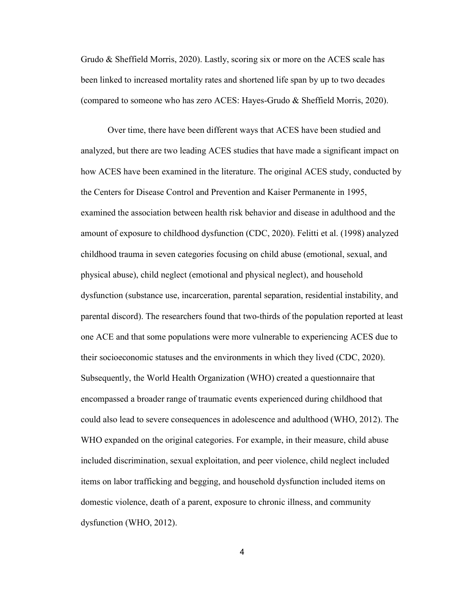Grudo & Sheffield Morris, 2020). Lastly, scoring six or more on the ACES scale has been linked to increased mortality rates and shortened life span by up to two decades (compared to someone who has zero ACES: Hayes-Grudo & Sheffield Morris, 2020).

Over time, there have been different ways that ACES have been studied and analyzed, but there are two leading ACES studies that have made a significant impact on how ACES have been examined in the literature. The original ACES study, conducted by the Centers for Disease Control and Prevention and Kaiser Permanente in 1995, examined the association between health risk behavior and disease in adulthood and the amount of exposure to childhood dysfunction (CDC, 2020). Felitti et al. (1998) analyzed childhood trauma in seven categories focusing on child abuse (emotional, sexual, and physical abuse), child neglect (emotional and physical neglect), and household dysfunction (substance use, incarceration, parental separation, residential instability, and parental discord). The researchers found that two-thirds of the population reported at least one ACE and that some populations were more vulnerable to experiencing ACES due to their socioeconomic statuses and the environments in which they lived (CDC, 2020). Subsequently, the World Health Organization (WHO) created a questionnaire that encompassed a broader range of traumatic events experienced during childhood that could also lead to severe consequences in adolescence and adulthood (WHO, 2012). The WHO expanded on the original categories. For example, in their measure, child abuse included discrimination, sexual exploitation, and peer violence, child neglect included items on labor trafficking and begging, and household dysfunction included items on domestic violence, death of a parent, exposure to chronic illness, and community dysfunction (WHO, 2012).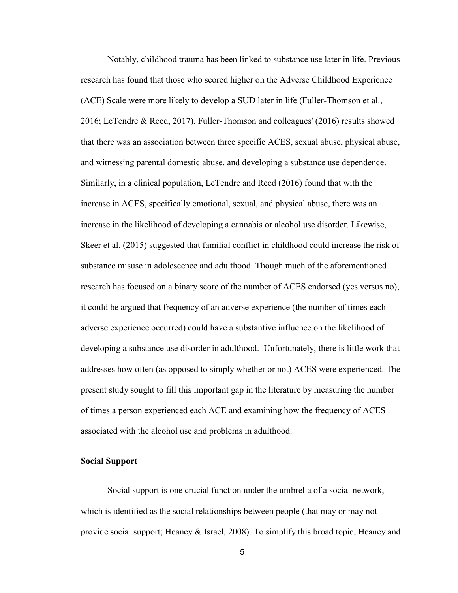Notably, childhood trauma has been linked to substance use later in life. Previous research has found that those who scored higher on the Adverse Childhood Experience (ACE) Scale were more likely to develop a SUD later in life (Fuller-Thomson et al., 2016; LeTendre & Reed, 2017). Fuller-Thomson and colleagues' (2016) results showed that there was an association between three specific ACES, sexual abuse, physical abuse, and witnessing parental domestic abuse, and developing a substance use dependence. Similarly, in a clinical population, LeTendre and Reed (2016) found that with the increase in ACES, specifically emotional, sexual, and physical abuse, there was an increase in the likelihood of developing a cannabis or alcohol use disorder. Likewise, Skeer et al. (2015) suggested that familial conflict in childhood could increase the risk of substance misuse in adolescence and adulthood. Though much of the aforementioned research has focused on a binary score of the number of ACES endorsed (yes versus no), it could be argued that frequency of an adverse experience (the number of times each adverse experience occurred) could have a substantive influence on the likelihood of developing a substance use disorder in adulthood. Unfortunately, there is little work that addresses how often (as opposed to simply whether or not) ACES were experienced. The present study sought to fill this important gap in the literature by measuring the number of times a person experienced each ACE and examining how the frequency of ACES associated with the alcohol use and problems in adulthood.

#### Social Support

Social support is one crucial function under the umbrella of a social network, which is identified as the social relationships between people (that may or may not provide social support; Heaney & Israel, 2008). To simplify this broad topic, Heaney and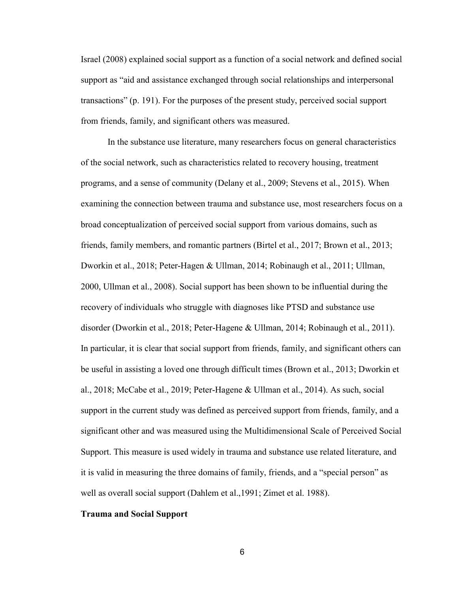Israel (2008) explained social support as a function of a social network and defined social support as "aid and assistance exchanged through social relationships and interpersonal transactions" (p. 191). For the purposes of the present study, perceived social support from friends, family, and significant others was measured.

In the substance use literature, many researchers focus on general characteristics of the social network, such as characteristics related to recovery housing, treatment programs, and a sense of community (Delany et al., 2009; Stevens et al., 2015). When examining the connection between trauma and substance use, most researchers focus on a broad conceptualization of perceived social support from various domains, such as friends, family members, and romantic partners (Birtel et al., 2017; Brown et al., 2013; Dworkin et al., 2018; Peter-Hagen & Ullman, 2014; Robinaugh et al., 2011; Ullman, 2000, Ullman et al., 2008). Social support has been shown to be influential during the recovery of individuals who struggle with diagnoses like PTSD and substance use disorder (Dworkin et al., 2018; Peter-Hagene & Ullman, 2014; Robinaugh et al., 2011). In particular, it is clear that social support from friends, family, and significant others can be useful in assisting a loved one through difficult times (Brown et al., 2013; Dworkin et al., 2018; McCabe et al., 2019; Peter-Hagene & Ullman et al., 2014). As such, social support in the current study was defined as perceived support from friends, family, and a significant other and was measured using the Multidimensional Scale of Perceived Social Support. This measure is used widely in trauma and substance use related literature, and it is valid in measuring the three domains of family, friends, and a "special person" as well as overall social support (Dahlem et al.,1991; Zimet et al. 1988).

#### Trauma and Social Support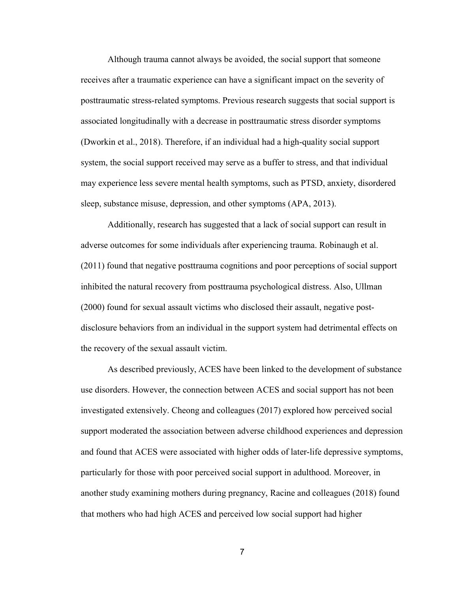Although trauma cannot always be avoided, the social support that someone receives after a traumatic experience can have a significant impact on the severity of posttraumatic stress-related symptoms. Previous research suggests that social support is associated longitudinally with a decrease in posttraumatic stress disorder symptoms (Dworkin et al., 2018). Therefore, if an individual had a high-quality social support system, the social support received may serve as a buffer to stress, and that individual may experience less severe mental health symptoms, such as PTSD, anxiety, disordered sleep, substance misuse, depression, and other symptoms (APA, 2013).

Additionally, research has suggested that a lack of social support can result in adverse outcomes for some individuals after experiencing trauma. Robinaugh et al. (2011) found that negative posttrauma cognitions and poor perceptions of social support inhibited the natural recovery from posttrauma psychological distress. Also, Ullman (2000) found for sexual assault victims who disclosed their assault, negative postdisclosure behaviors from an individual in the support system had detrimental effects on the recovery of the sexual assault victim.

 As described previously, ACES have been linked to the development of substance use disorders. However, the connection between ACES and social support has not been investigated extensively. Cheong and colleagues (2017) explored how perceived social support moderated the association between adverse childhood experiences and depression and found that ACES were associated with higher odds of later-life depressive symptoms, particularly for those with poor perceived social support in adulthood. Moreover, in another study examining mothers during pregnancy, Racine and colleagues (2018) found that mothers who had high ACES and perceived low social support had higher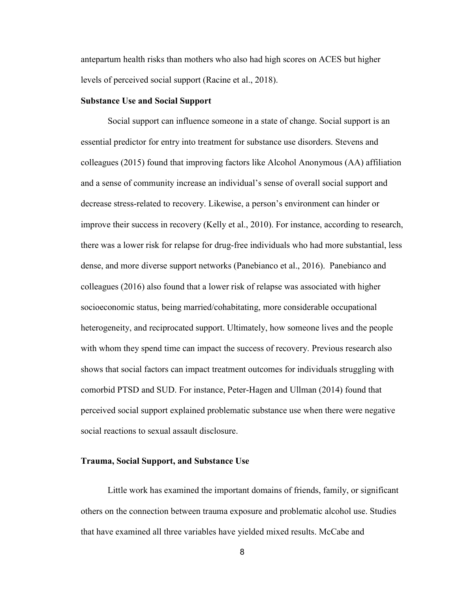antepartum health risks than mothers who also had high scores on ACES but higher levels of perceived social support (Racine et al., 2018).

#### Substance Use and Social Support

 Social support can influence someone in a state of change. Social support is an essential predictor for entry into treatment for substance use disorders. Stevens and colleagues (2015) found that improving factors like Alcohol Anonymous (AA) affiliation and a sense of community increase an individual's sense of overall social support and decrease stress-related to recovery. Likewise, a person's environment can hinder or improve their success in recovery (Kelly et al., 2010). For instance, according to research, there was a lower risk for relapse for drug-free individuals who had more substantial, less dense, and more diverse support networks (Panebianco et al., 2016). Panebianco and colleagues (2016) also found that a lower risk of relapse was associated with higher socioeconomic status, being married/cohabitating, more considerable occupational heterogeneity, and reciprocated support. Ultimately, how someone lives and the people with whom they spend time can impact the success of recovery. Previous research also shows that social factors can impact treatment outcomes for individuals struggling with comorbid PTSD and SUD. For instance, Peter-Hagen and Ullman (2014) found that perceived social support explained problematic substance use when there were negative social reactions to sexual assault disclosure.

#### Trauma, Social Support, and Substance Use

Little work has examined the important domains of friends, family, or significant others on the connection between trauma exposure and problematic alcohol use. Studies that have examined all three variables have yielded mixed results. McCabe and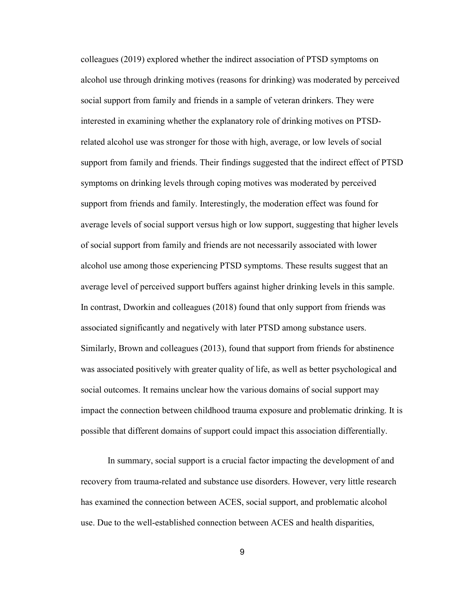colleagues (2019) explored whether the indirect association of PTSD symptoms on alcohol use through drinking motives (reasons for drinking) was moderated by perceived social support from family and friends in a sample of veteran drinkers. They were interested in examining whether the explanatory role of drinking motives on PTSDrelated alcohol use was stronger for those with high, average, or low levels of social support from family and friends. Their findings suggested that the indirect effect of PTSD symptoms on drinking levels through coping motives was moderated by perceived support from friends and family. Interestingly, the moderation effect was found for average levels of social support versus high or low support, suggesting that higher levels of social support from family and friends are not necessarily associated with lower alcohol use among those experiencing PTSD symptoms. These results suggest that an average level of perceived support buffers against higher drinking levels in this sample. In contrast, Dworkin and colleagues (2018) found that only support from friends was associated significantly and negatively with later PTSD among substance users. Similarly, Brown and colleagues (2013), found that support from friends for abstinence was associated positively with greater quality of life, as well as better psychological and social outcomes. It remains unclear how the various domains of social support may impact the connection between childhood trauma exposure and problematic drinking. It is possible that different domains of support could impact this association differentially.

In summary, social support is a crucial factor impacting the development of and recovery from trauma-related and substance use disorders. However, very little research has examined the connection between ACES, social support, and problematic alcohol use. Due to the well-established connection between ACES and health disparities,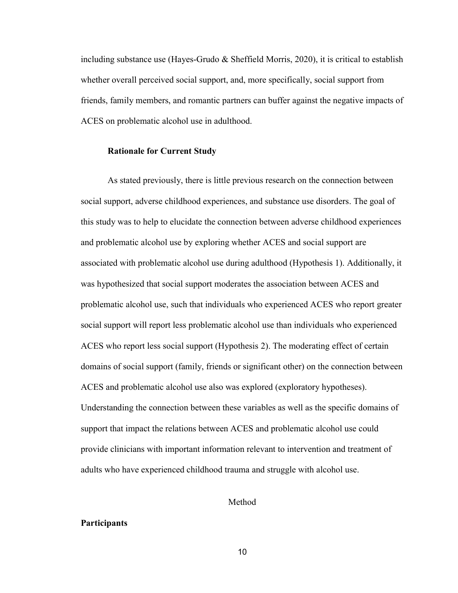including substance use (Hayes-Grudo & Sheffield Morris, 2020), it is critical to establish whether overall perceived social support, and, more specifically, social support from friends, family members, and romantic partners can buffer against the negative impacts of ACES on problematic alcohol use in adulthood.

#### Rationale for Current Study

As stated previously, there is little previous research on the connection between social support, adverse childhood experiences, and substance use disorders. The goal of this study was to help to elucidate the connection between adverse childhood experiences and problematic alcohol use by exploring whether ACES and social support are associated with problematic alcohol use during adulthood (Hypothesis 1). Additionally, it was hypothesized that social support moderates the association between ACES and problematic alcohol use, such that individuals who experienced ACES who report greater social support will report less problematic alcohol use than individuals who experienced ACES who report less social support (Hypothesis 2). The moderating effect of certain domains of social support (family, friends or significant other) on the connection between ACES and problematic alcohol use also was explored (exploratory hypotheses). Understanding the connection between these variables as well as the specific domains of support that impact the relations between ACES and problematic alcohol use could provide clinicians with important information relevant to intervention and treatment of adults who have experienced childhood trauma and struggle with alcohol use.

#### Method

#### **Participants**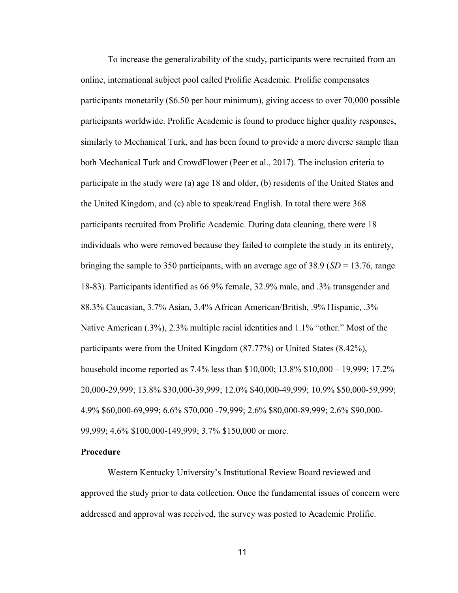To increase the generalizability of the study, participants were recruited from an online, international subject pool called Prolific Academic. Prolific compensates participants monetarily (\$6.50 per hour minimum), giving access to over 70,000 possible participants worldwide. Prolific Academic is found to produce higher quality responses, similarly to Mechanical Turk, and has been found to provide a more diverse sample than both Mechanical Turk and CrowdFlower (Peer et al., 2017). The inclusion criteria to participate in the study were (a) age 18 and older, (b) residents of the United States and the United Kingdom, and (c) able to speak/read English. In total there were 368 participants recruited from Prolific Academic. During data cleaning, there were 18 individuals who were removed because they failed to complete the study in its entirety, bringing the sample to 350 participants, with an average age of 38.9 ( $SD = 13.76$ , range 18-83). Participants identified as 66.9% female, 32.9% male, and .3% transgender and 88.3% Caucasian, 3.7% Asian, 3.4% African American/British, .9% Hispanic, .3% Native American (.3%), 2.3% multiple racial identities and 1.1% "other." Most of the participants were from the United Kingdom (87.77%) or United States (8.42%), household income reported as 7.4% less than \$10,000; 13.8% \$10,000 – 19,999; 17.2% 20,000-29,999; 13.8% \$30,000-39,999; 12.0% \$40,000-49,999; 10.9% \$50,000-59,999; 4.9% \$60,000-69,999; 6.6% \$70,000 -79,999; 2.6% \$80,000-89,999; 2.6% \$90,000- 99,999; 4.6% \$100,000-149,999; 3.7% \$150,000 or more.

#### Procedure

Western Kentucky University's Institutional Review Board reviewed and approved the study prior to data collection. Once the fundamental issues of concern were addressed and approval was received, the survey was posted to Academic Prolific.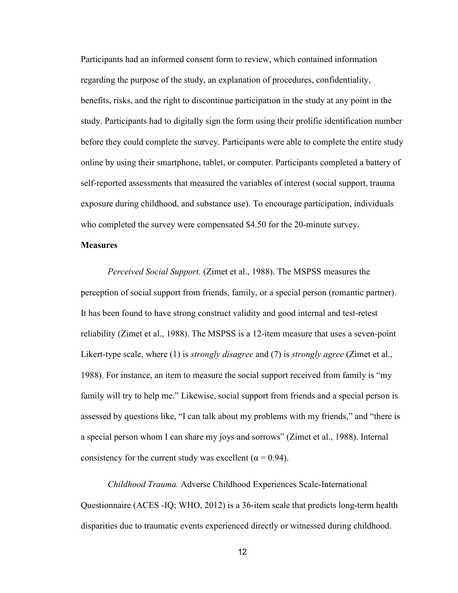Participants had an informed consent form to review, which contained information regarding the purpose of the study, an explanation of procedures, confidentiality, benefits, risks, and the right to discontinue participation in the study at any point in the study. Participants had to digitally sign the form using their prolific identification number before they could complete the survey. Participants were able to complete the entire study online by using their smartphone, tablet, or computer. Participants completed a battery of self-reported assessments that measured the variables of interest (social support, trauma exposure during childhood, and substance use). To encourage participation, individuals who completed the survey were compensated \$4.50 for the 20-minute survey.

#### **Measures**

Perceived Social Support. (Zimet et al., 1988). The MSPSS measures the perception of social support from friends, family, or a special person (romantic partner). It has been found to have strong construct validity and good internal and test-retest reliability (Zimet et al., 1988). The MSPSS is a 12-item measure that uses a seven-point Likert-type scale, where (1) is *strongly disagree* and (7) is *strongly agree* (Zimet et al., 1988). For instance, an item to measure the social support received from family is "my family will try to help me." Likewise, social support from friends and a special person is assessed by questions like, "I can talk about my problems with my friends," and "there is a special person whom I can share my joys and sorrows" (Zimet et al., 1988). Internal consistency for the current study was excellent ( $\alpha$  = 0.94).

Childhood Trauma. Adverse Childhood Experiences Scale-International Questionnaire (ACES -IQ; WHO, 2012) is a 36-item scale that predicts long-term health disparities due to traumatic events experienced directly or witnessed during childhood.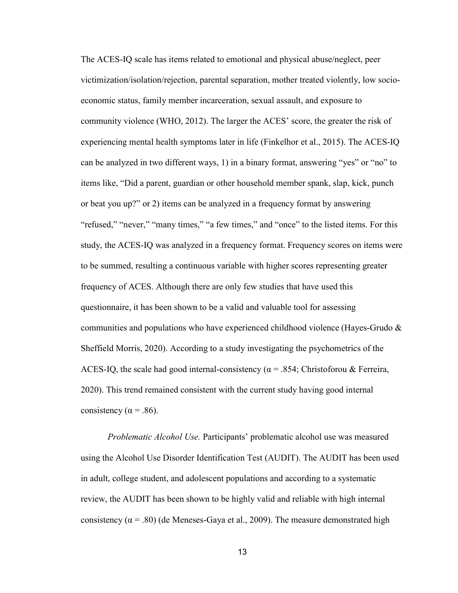The ACES-IQ scale has items related to emotional and physical abuse/neglect, peer victimization/isolation/rejection, parental separation, mother treated violently, low socioeconomic status, family member incarceration, sexual assault, and exposure to community violence (WHO, 2012). The larger the ACES' score, the greater the risk of experiencing mental health symptoms later in life (Finkelhor et al., 2015). The ACES-IQ can be analyzed in two different ways, 1) in a binary format, answering "yes" or "no" to items like, "Did a parent, guardian or other household member spank, slap, kick, punch or beat you up?" or 2) items can be analyzed in a frequency format by answering "refused," "never," "many times," "a few times," and "once" to the listed items. For this study, the ACES-IQ was analyzed in a frequency format. Frequency scores on items were to be summed, resulting a continuous variable with higher scores representing greater frequency of ACES. Although there are only few studies that have used this questionnaire, it has been shown to be a valid and valuable tool for assessing communities and populations who have experienced childhood violence (Hayes-Grudo  $\&$ Sheffield Morris, 2020). According to a study investigating the psychometrics of the ACES-IQ, the scale had good internal-consistency ( $\alpha$  = .854; Christoforou & Ferreira, 2020). This trend remained consistent with the current study having good internal consistency ( $\alpha$  = .86).

Problematic Alcohol Use. Participants' problematic alcohol use was measured using the Alcohol Use Disorder Identification Test (AUDIT). The AUDIT has been used in adult, college student, and adolescent populations and according to a systematic review, the AUDIT has been shown to be highly valid and reliable with high internal consistency ( $\alpha$  = .80) (de Meneses-Gaya et al., 2009). The measure demonstrated high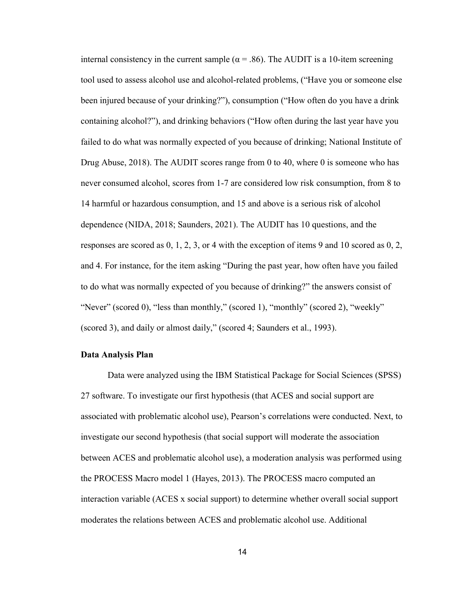internal consistency in the current sample ( $\alpha$  = .86). The AUDIT is a 10-item screening tool used to assess alcohol use and alcohol-related problems, ("Have you or someone else been injured because of your drinking?"), consumption ("How often do you have a drink containing alcohol?"), and drinking behaviors ("How often during the last year have you failed to do what was normally expected of you because of drinking; National Institute of Drug Abuse, 2018). The AUDIT scores range from 0 to 40, where 0 is someone who has never consumed alcohol, scores from 1-7 are considered low risk consumption, from 8 to 14 harmful or hazardous consumption, and 15 and above is a serious risk of alcohol dependence (NIDA, 2018; Saunders, 2021). The AUDIT has 10 questions, and the responses are scored as 0, 1, 2, 3, or 4 with the exception of items 9 and 10 scored as 0, 2, and 4. For instance, for the item asking "During the past year, how often have you failed to do what was normally expected of you because of drinking?" the answers consist of "Never" (scored 0), "less than monthly," (scored 1), "monthly" (scored 2), "weekly" (scored 3), and daily or almost daily," (scored 4; Saunders et al., 1993).

#### Data Analysis Plan

Data were analyzed using the IBM Statistical Package for Social Sciences (SPSS) 27 software. To investigate our first hypothesis (that ACES and social support are associated with problematic alcohol use), Pearson's correlations were conducted. Next, to investigate our second hypothesis (that social support will moderate the association between ACES and problematic alcohol use), a moderation analysis was performed using the PROCESS Macro model 1 (Hayes, 2013). The PROCESS macro computed an interaction variable (ACES x social support) to determine whether overall social support moderates the relations between ACES and problematic alcohol use. Additional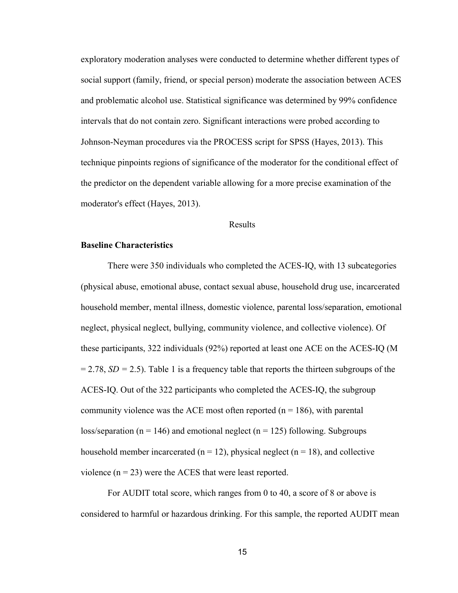exploratory moderation analyses were conducted to determine whether different types of social support (family, friend, or special person) moderate the association between ACES and problematic alcohol use. Statistical significance was determined by 99% confidence intervals that do not contain zero. Significant interactions were probed according to Johnson-Neyman procedures via the PROCESS script for SPSS (Hayes, 2013). This technique pinpoints regions of significance of the moderator for the conditional effect of the predictor on the dependent variable allowing for a more precise examination of the moderator's effect (Hayes, 2013).

#### Results

#### Baseline Characteristics

There were 350 individuals who completed the ACES-IQ, with 13 subcategories (physical abuse, emotional abuse, contact sexual abuse, household drug use, incarcerated household member, mental illness, domestic violence, parental loss/separation, emotional neglect, physical neglect, bullying, community violence, and collective violence). Of these participants, 322 individuals (92%) reported at least one ACE on the ACES-IQ (M  $= 2.78$ ,  $SD = 2.5$ ). Table 1 is a frequency table that reports the thirteen subgroups of the ACES-IQ. Out of the 322 participants who completed the ACES-IQ, the subgroup community violence was the ACE most often reported ( $n = 186$ ), with parental loss/separation ( $n = 146$ ) and emotional neglect ( $n = 125$ ) following. Subgroups household member incarcerated ( $n = 12$ ), physical neglect ( $n = 18$ ), and collective violence  $(n = 23)$  were the ACES that were least reported.

For AUDIT total score, which ranges from 0 to 40, a score of 8 or above is considered to harmful or hazardous drinking. For this sample, the reported AUDIT mean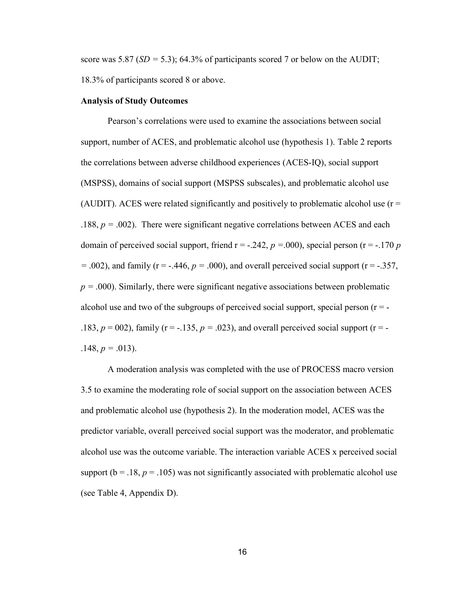score was 5.87 ( $SD = 5.3$ ); 64.3% of participants scored 7 or below on the AUDIT; 18.3% of participants scored 8 or above.

#### Analysis of Study Outcomes

Pearson's correlations were used to examine the associations between social support, number of ACES, and problematic alcohol use (hypothesis 1). Table 2 reports the correlations between adverse childhood experiences (ACES-IQ), social support (MSPSS), domains of social support (MSPSS subscales), and problematic alcohol use (AUDIT). ACES were related significantly and positively to problematic alcohol use  $(r =$ .188,  $p = .002$ ). There were significant negative correlations between ACES and each domain of perceived social support, friend  $r = -.242$ ,  $p = .000$ ), special person (r = -.170 p  $=$  .002), and family (r = -.446,  $p = .000$ ), and overall perceived social support (r = -.357,  $p = .000$ ). Similarly, there were significant negative associations between problematic alcohol use and two of the subgroups of perceived social support, special person  $(r = -1)$ .183,  $p = 002$ ), family (r = -.135,  $p = .023$ ), and overall perceived social support (r = - $.148, p = .013$ ).

A moderation analysis was completed with the use of PROCESS macro version 3.5 to examine the moderating role of social support on the association between ACES and problematic alcohol use (hypothesis 2). In the moderation model, ACES was the predictor variable, overall perceived social support was the moderator, and problematic alcohol use was the outcome variable. The interaction variable ACES x perceived social support ( $b = .18$ ,  $p = .105$ ) was not significantly associated with problematic alcohol use (see Table 4, Appendix D).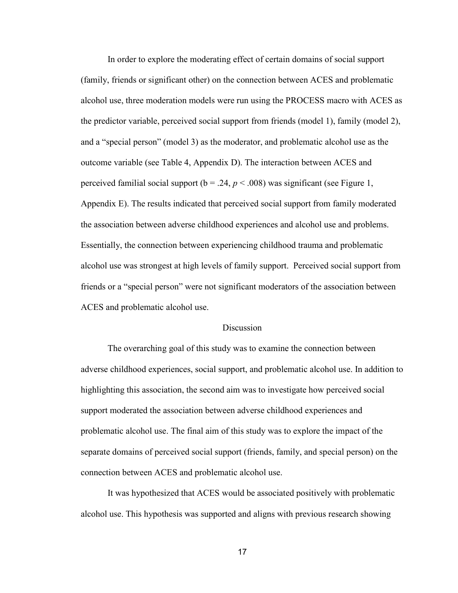In order to explore the moderating effect of certain domains of social support (family, friends or significant other) on the connection between ACES and problematic alcohol use, three moderation models were run using the PROCESS macro with ACES as the predictor variable, perceived social support from friends (model 1), family (model 2), and a "special person" (model 3) as the moderator, and problematic alcohol use as the outcome variable (see Table 4, Appendix D). The interaction between ACES and perceived familial social support ( $b = .24$ ,  $p < .008$ ) was significant (see Figure 1, Appendix E). The results indicated that perceived social support from family moderated the association between adverse childhood experiences and alcohol use and problems. Essentially, the connection between experiencing childhood trauma and problematic alcohol use was strongest at high levels of family support. Perceived social support from friends or a "special person" were not significant moderators of the association between ACES and problematic alcohol use.

#### **Discussion**

The overarching goal of this study was to examine the connection between adverse childhood experiences, social support, and problematic alcohol use. In addition to highlighting this association, the second aim was to investigate how perceived social support moderated the association between adverse childhood experiences and problematic alcohol use. The final aim of this study was to explore the impact of the separate domains of perceived social support (friends, family, and special person) on the connection between ACES and problematic alcohol use.

It was hypothesized that ACES would be associated positively with problematic alcohol use. This hypothesis was supported and aligns with previous research showing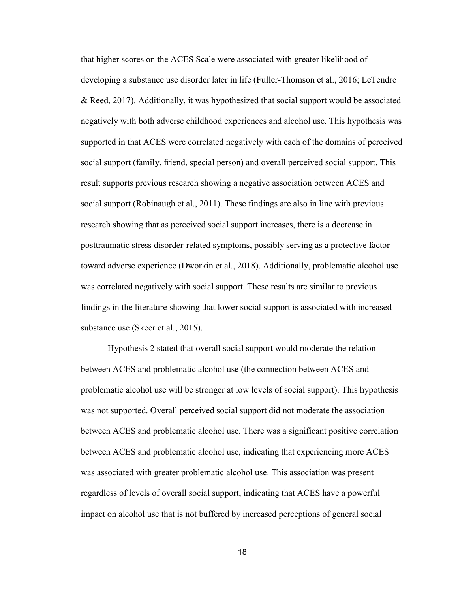that higher scores on the ACES Scale were associated with greater likelihood of developing a substance use disorder later in life (Fuller-Thomson et al., 2016; LeTendre & Reed, 2017). Additionally, it was hypothesized that social support would be associated negatively with both adverse childhood experiences and alcohol use. This hypothesis was supported in that ACES were correlated negatively with each of the domains of perceived social support (family, friend, special person) and overall perceived social support. This result supports previous research showing a negative association between ACES and social support (Robinaugh et al., 2011). These findings are also in line with previous research showing that as perceived social support increases, there is a decrease in posttraumatic stress disorder-related symptoms, possibly serving as a protective factor toward adverse experience (Dworkin et al., 2018). Additionally, problematic alcohol use was correlated negatively with social support. These results are similar to previous findings in the literature showing that lower social support is associated with increased substance use (Skeer et al., 2015).

Hypothesis 2 stated that overall social support would moderate the relation between ACES and problematic alcohol use (the connection between ACES and problematic alcohol use will be stronger at low levels of social support). This hypothesis was not supported. Overall perceived social support did not moderate the association between ACES and problematic alcohol use. There was a significant positive correlation between ACES and problematic alcohol use, indicating that experiencing more ACES was associated with greater problematic alcohol use. This association was present regardless of levels of overall social support, indicating that ACES have a powerful impact on alcohol use that is not buffered by increased perceptions of general social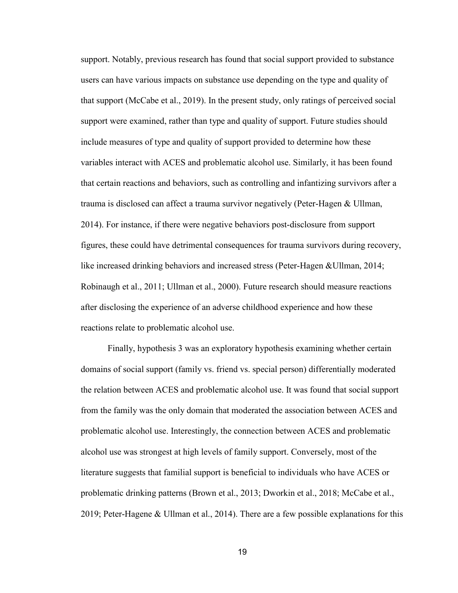support. Notably, previous research has found that social support provided to substance users can have various impacts on substance use depending on the type and quality of that support (McCabe et al., 2019). In the present study, only ratings of perceived social support were examined, rather than type and quality of support. Future studies should include measures of type and quality of support provided to determine how these variables interact with ACES and problematic alcohol use. Similarly, it has been found that certain reactions and behaviors, such as controlling and infantizing survivors after a trauma is disclosed can affect a trauma survivor negatively (Peter-Hagen & Ullman, 2014). For instance, if there were negative behaviors post-disclosure from support figures, these could have detrimental consequences for trauma survivors during recovery, like increased drinking behaviors and increased stress (Peter-Hagen &Ullman, 2014; Robinaugh et al., 2011; Ullman et al., 2000). Future research should measure reactions after disclosing the experience of an adverse childhood experience and how these reactions relate to problematic alcohol use.

Finally, hypothesis 3 was an exploratory hypothesis examining whether certain domains of social support (family vs. friend vs. special person) differentially moderated the relation between ACES and problematic alcohol use. It was found that social support from the family was the only domain that moderated the association between ACES and problematic alcohol use. Interestingly, the connection between ACES and problematic alcohol use was strongest at high levels of family support. Conversely, most of the literature suggests that familial support is beneficial to individuals who have ACES or problematic drinking patterns (Brown et al., 2013; Dworkin et al., 2018; McCabe et al., 2019; Peter-Hagene & Ullman et al., 2014). There are a few possible explanations for this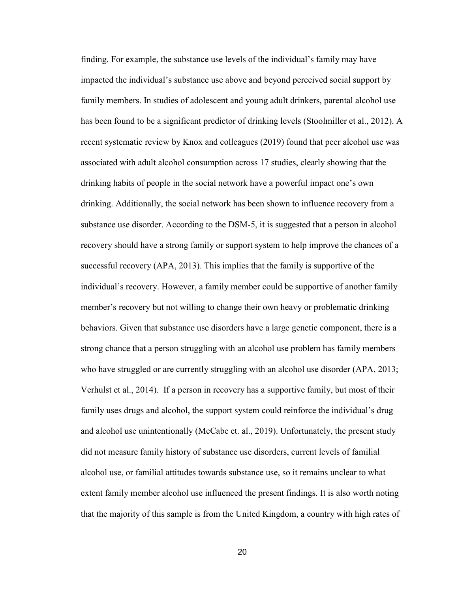finding. For example, the substance use levels of the individual's family may have impacted the individual's substance use above and beyond perceived social support by family members. In studies of adolescent and young adult drinkers, parental alcohol use has been found to be a significant predictor of drinking levels (Stoolmiller et al., 2012). A recent systematic review by Knox and colleagues (2019) found that peer alcohol use was associated with adult alcohol consumption across 17 studies, clearly showing that the drinking habits of people in the social network have a powerful impact one's own drinking. Additionally, the social network has been shown to influence recovery from a substance use disorder. According to the DSM-5, it is suggested that a person in alcohol recovery should have a strong family or support system to help improve the chances of a successful recovery (APA, 2013). This implies that the family is supportive of the individual's recovery. However, a family member could be supportive of another family member's recovery but not willing to change their own heavy or problematic drinking behaviors. Given that substance use disorders have a large genetic component, there is a strong chance that a person struggling with an alcohol use problem has family members who have struggled or are currently struggling with an alcohol use disorder (APA, 2013; Verhulst et al., 2014). If a person in recovery has a supportive family, but most of their family uses drugs and alcohol, the support system could reinforce the individual's drug and alcohol use unintentionally (McCabe et. al., 2019). Unfortunately, the present study did not measure family history of substance use disorders, current levels of familial alcohol use, or familial attitudes towards substance use, so it remains unclear to what extent family member alcohol use influenced the present findings. It is also worth noting that the majority of this sample is from the United Kingdom, a country with high rates of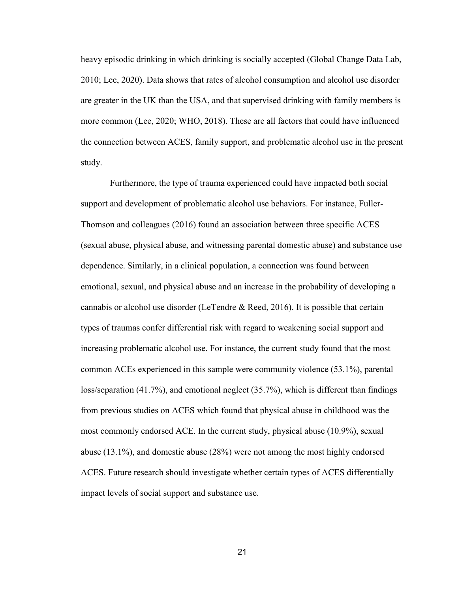heavy episodic drinking in which drinking is socially accepted (Global Change Data Lab, 2010; Lee, 2020). Data shows that rates of alcohol consumption and alcohol use disorder are greater in the UK than the USA, and that supervised drinking with family members is more common (Lee, 2020; WHO, 2018). These are all factors that could have influenced the connection between ACES, family support, and problematic alcohol use in the present study.

 Furthermore, the type of trauma experienced could have impacted both social support and development of problematic alcohol use behaviors. For instance, Fuller-Thomson and colleagues (2016) found an association between three specific ACES (sexual abuse, physical abuse, and witnessing parental domestic abuse) and substance use dependence. Similarly, in a clinical population, a connection was found between emotional, sexual, and physical abuse and an increase in the probability of developing a cannabis or alcohol use disorder (LeTendre & Reed, 2016). It is possible that certain types of traumas confer differential risk with regard to weakening social support and increasing problematic alcohol use. For instance, the current study found that the most common ACEs experienced in this sample were community violence (53.1%), parental loss/separation (41.7%), and emotional neglect (35.7%), which is different than findings from previous studies on ACES which found that physical abuse in childhood was the most commonly endorsed ACE. In the current study, physical abuse (10.9%), sexual abuse (13.1%), and domestic abuse (28%) were not among the most highly endorsed ACES. Future research should investigate whether certain types of ACES differentially impact levels of social support and substance use.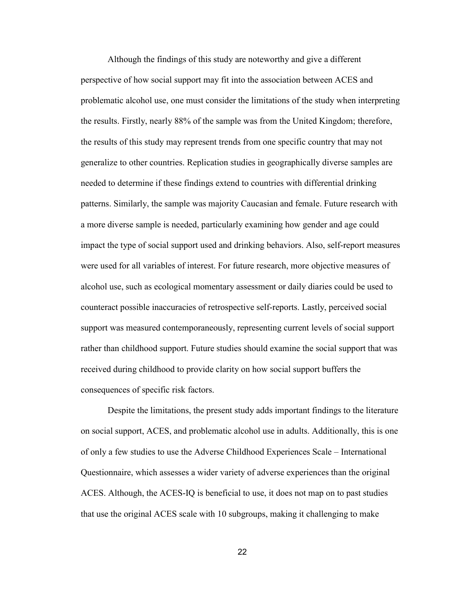Although the findings of this study are noteworthy and give a different perspective of how social support may fit into the association between ACES and problematic alcohol use, one must consider the limitations of the study when interpreting the results. Firstly, nearly 88% of the sample was from the United Kingdom; therefore, the results of this study may represent trends from one specific country that may not generalize to other countries. Replication studies in geographically diverse samples are needed to determine if these findings extend to countries with differential drinking patterns. Similarly, the sample was majority Caucasian and female. Future research with a more diverse sample is needed, particularly examining how gender and age could impact the type of social support used and drinking behaviors. Also, self-report measures were used for all variables of interest. For future research, more objective measures of alcohol use, such as ecological momentary assessment or daily diaries could be used to counteract possible inaccuracies of retrospective self-reports. Lastly, perceived social support was measured contemporaneously, representing current levels of social support rather than childhood support. Future studies should examine the social support that was received during childhood to provide clarity on how social support buffers the consequences of specific risk factors.

Despite the limitations, the present study adds important findings to the literature on social support, ACES, and problematic alcohol use in adults. Additionally, this is one of only a few studies to use the Adverse Childhood Experiences Scale – International Questionnaire, which assesses a wider variety of adverse experiences than the original ACES. Although, the ACES-IQ is beneficial to use, it does not map on to past studies that use the original ACES scale with 10 subgroups, making it challenging to make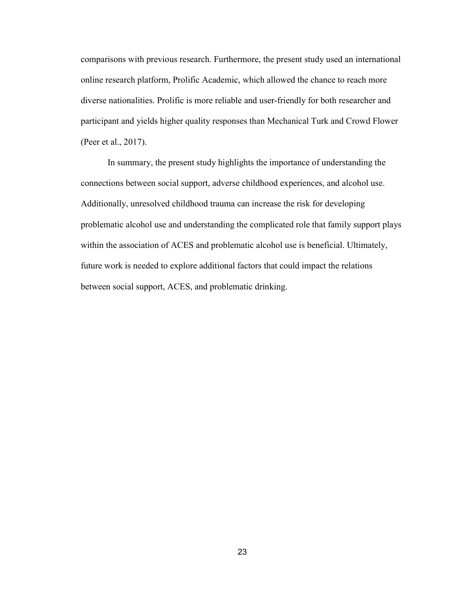comparisons with previous research. Furthermore, the present study used an international online research platform, Prolific Academic, which allowed the chance to reach more diverse nationalities. Prolific is more reliable and user-friendly for both researcher and participant and yields higher quality responses than Mechanical Turk and Crowd Flower (Peer et al., 2017).

In summary, the present study highlights the importance of understanding the connections between social support, adverse childhood experiences, and alcohol use. Additionally, unresolved childhood trauma can increase the risk for developing problematic alcohol use and understanding the complicated role that family support plays within the association of ACES and problematic alcohol use is beneficial. Ultimately, future work is needed to explore additional factors that could impact the relations between social support, ACES, and problematic drinking.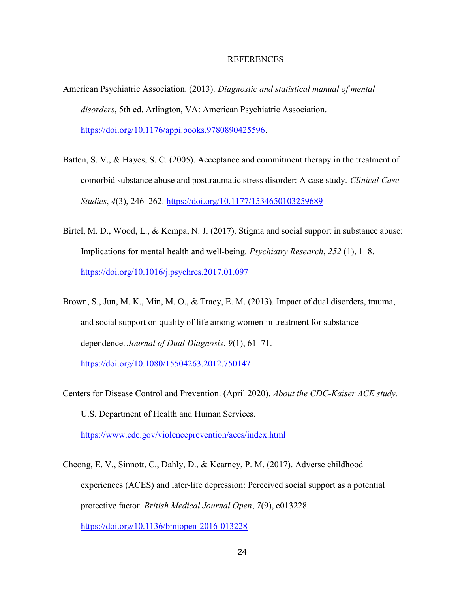#### REFERENCES

- American Psychiatric Association. (2013). Diagnostic and statistical manual of mental disorders, 5th ed. Arlington, VA: American Psychiatric Association. https://doi.org/10.1176/appi.books.9780890425596.
- Batten, S. V., & Hayes, S. C. (2005). Acceptance and commitment therapy in the treatment of comorbid substance abuse and posttraumatic stress disorder: A case study. Clinical Case Studies, 4(3), 246–262. https://doi.org/10.1177/1534650103259689
- Birtel, M. D., Wood, L., & Kempa, N. J. (2017). Stigma and social support in substance abuse: Implications for mental health and well-being. Psychiatry Research, 252 (1), 1–8. https://doi.org/10.1016/j.psychres.2017.01.097
- Brown, S., Jun, M. K., Min, M. O., & Tracy, E. M. (2013). Impact of dual disorders, trauma, and social support on quality of life among women in treatment for substance dependence. Journal of Dual Diagnosis, 9(1), 61–71.

https://doi.org/10.1080/15504263.2012.750147

- Centers for Disease Control and Prevention. (April 2020). About the CDC-Kaiser ACE study. U.S. Department of Health and Human Services. https://www.cdc.gov/violenceprevention/aces/index.html
- Cheong, E. V., Sinnott, C., Dahly, D., & Kearney, P. M. (2017). Adverse childhood experiences (ACES) and later-life depression: Perceived social support as a potential protective factor. British Medical Journal Open, 7(9), e013228. https://doi.org/10.1136/bmjopen-2016-013228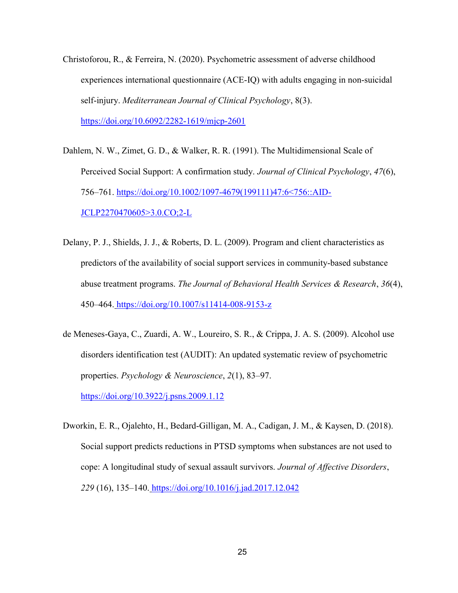- Christoforou, R., & Ferreira, N. (2020). Psychometric assessment of adverse childhood experiences international questionnaire (ACE-IQ) with adults engaging in non-suicidal self-injury. Mediterranean Journal of Clinical Psychology, 8(3). https://doi.org/10.6092/2282-1619/mjcp-2601
- Dahlem, N. W., Zimet, G. D., & Walker, R. R. (1991). The Multidimensional Scale of Perceived Social Support: A confirmation study. Journal of Clinical Psychology, 47(6), 756–761. https://doi.org/10.1002/1097-4679(199111)47:6<756::AID-JCLP2270470605>3.0.CO;2-L
- Delany, P. J., Shields, J. J., & Roberts, D. L. (2009). Program and client characteristics as predictors of the availability of social support services in community-based substance abuse treatment programs. The Journal of Behavioral Health Services & Research, 36(4), 450–464. https://doi.org/10.1007/s11414-008-9153-z
- de Meneses-Gaya, C., Zuardi, A. W., Loureiro, S. R., & Crippa, J. A. S. (2009). Alcohol use disorders identification test (AUDIT): An updated systematic review of psychometric properties. Psychology & Neuroscience, 2(1), 83–97.

https://doi.org/10.3922/j.psns.2009.1.12

Dworkin, E. R., Ojalehto, H., Bedard-Gilligan, M. A., Cadigan, J. M., & Kaysen, D. (2018). Social support predicts reductions in PTSD symptoms when substances are not used to cope: A longitudinal study of sexual assault survivors. Journal of Affective Disorders, 229 (16), 135-140. https://doi.org/10.1016/j.jad.2017.12.042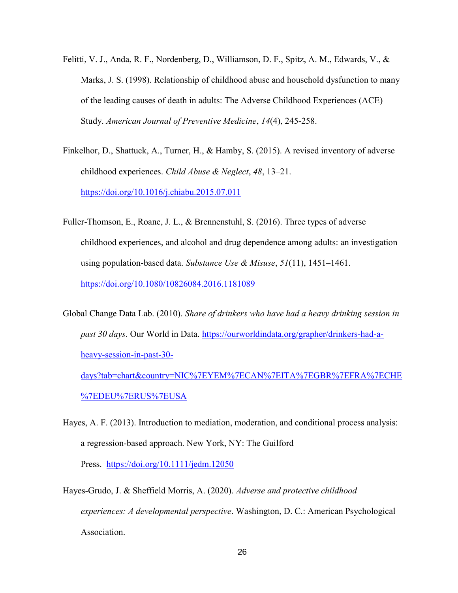- Felitti, V. J., Anda, R. F., Nordenberg, D., Williamson, D. F., Spitz, A. M., Edwards, V., & Marks, J. S. (1998). Relationship of childhood abuse and household dysfunction to many of the leading causes of death in adults: The Adverse Childhood Experiences (ACE) Study. American Journal of Preventive Medicine, 14(4), 245-258.
- Finkelhor, D., Shattuck, A., Turner, H., & Hamby, S. (2015). A revised inventory of adverse childhood experiences. Child Abuse & Neglect, 48, 13–21. https://doi.org/10.1016/j.chiabu.2015.07.011
- Fuller-Thomson, E., Roane, J. L., & Brennenstuhl, S. (2016). Three types of adverse childhood experiences, and alcohol and drug dependence among adults: an investigation using population-based data. Substance Use & Misuse,  $51(11)$ , 1451–1461. https://doi.org/10.1080/10826084.2016.1181089
- Global Change Data Lab. (2010). Share of drinkers who have had a heavy drinking session in past 30 days. Our World in Data. https://ourworldindata.org/grapher/drinkers-had-aheavy-session-in-past-30-

days?tab=chart&country=NIC%7EYEM%7ECAN%7EITA%7EGBR%7EFRA%7ECHE %7EDEU%7ERUS%7EUSA

- Hayes, A. F. (2013). Introduction to mediation, moderation, and conditional process analysis: a regression‐based approach. New York, NY: The Guilford Press. https://doi.org/10.1111/jedm.12050
- Hayes-Grudo, J. & Sheffield Morris, A. (2020). Adverse and protective childhood experiences: A developmental perspective. Washington, D. C.: American Psychological Association.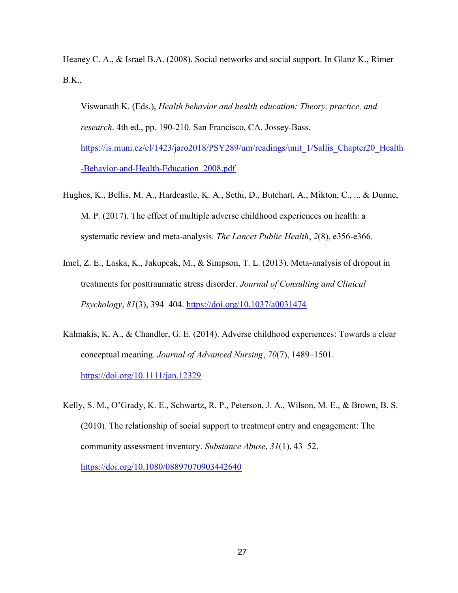Heaney C. A., & Israel B.A. (2008). Social networks and social support. In Glanz K., Rimer B.K.,

Viswanath K. (Eds.), Health behavior and health education: Theory, practice, and research. 4th ed., pp. 190-210. San Francisco, CA. Jossey-Bass. https://is.muni.cz/el/1423/jaro2018/PSY289/um/readings/unit\_1/Sallis\_Chapter20\_Health -Behavior-and-Health-Education\_2008.pdf

- Hughes, K., Bellis, M. A., Hardcastle, K. A., Sethi, D., Butchart, A., Mikton, C., ... & Dunne, M. P. (2017). The effect of multiple adverse childhood experiences on health: a systematic review and meta-analysis. The Lancet Public Health, 2(8), e356-e366.
- Imel, Z. E., Laska, K., Jakupcak, M., & Simpson, T. L. (2013). Meta-analysis of dropout in treatments for posttraumatic stress disorder. Journal of Consulting and Clinical Psychology, 81(3), 394–404. https://doi.org/10.1037/a0031474
- Kalmakis, K. A., & Chandler, G. E. (2014). Adverse childhood experiences: Towards a clear conceptual meaning. Journal of Advanced Nursing, 70(7), 1489–1501. https://doi.org/10.1111/jan.12329

Kelly, S. M., O'Grady, K. E., Schwartz, R. P., Peterson, J. A., Wilson, M. E., & Brown, B. S. (2010). The relationship of social support to treatment entry and engagement: The community assessment inventory. Substance Abuse, 31(1), 43–52. https://doi.org/10.1080/08897070903442640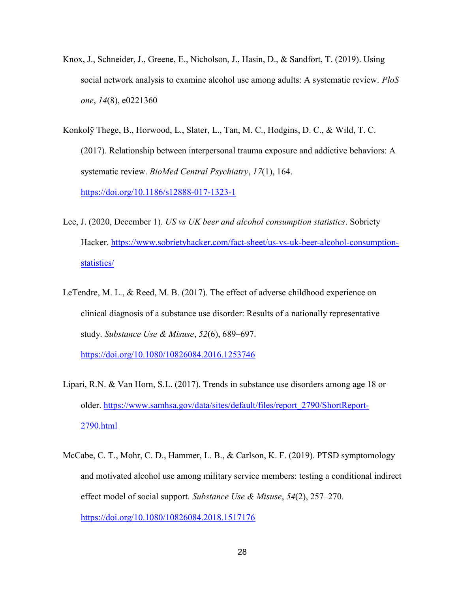- Knox, J., Schneider, J., Greene, E., Nicholson, J., Hasin, D., & Sandfort, T. (2019). Using social network analysis to examine alcohol use among adults: A systematic review. PloS one, 14(8), e0221360
- Konkolÿ Thege, B., Horwood, L., Slater, L., Tan, M. C., Hodgins, D. C., & Wild, T. C. (2017). Relationship between interpersonal trauma exposure and addictive behaviors: A systematic review. BioMed Central Psychiatry, 17(1), 164. https://doi.org/10.1186/s12888-017-1323-1
- Lee, J. (2020, December 1). US vs UK beer and alcohol consumption statistics. Sobriety Hacker. https://www.sobrietyhacker.com/fact-sheet/us-vs-uk-beer-alcohol-consumptionstatistics/
- LeTendre, M. L., & Reed, M. B. (2017). The effect of adverse childhood experience on clinical diagnosis of a substance use disorder: Results of a nationally representative study. Substance Use & Misuse, 52(6), 689–697.

https://doi.org/10.1080/10826084.2016.1253746

- Lipari, R.N. & Van Horn, S.L. (2017). Trends in substance use disorders among age 18 or older. https://www.samhsa.gov/data/sites/default/files/report\_2790/ShortReport-2790.html
- McCabe, C. T., Mohr, C. D., Hammer, L. B., & Carlson, K. F. (2019). PTSD symptomology and motivated alcohol use among military service members: testing a conditional indirect effect model of social support. Substance Use & Misuse,  $54(2)$ ,  $257-270$ . https://doi.org/10.1080/10826084.2018.1517176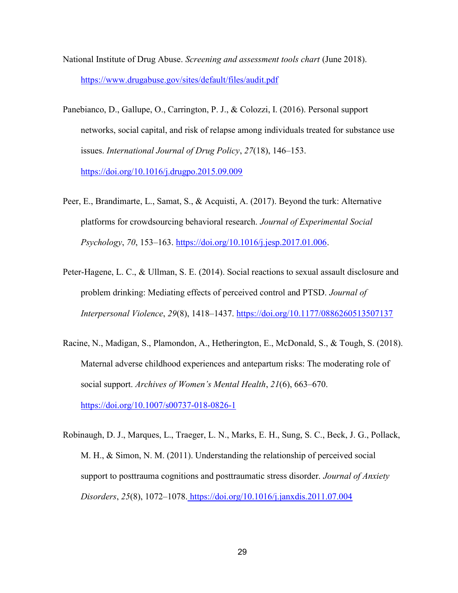- National Institute of Drug Abuse. Screening and assessment tools chart (June 2018). https://www.drugabuse.gov/sites/default/files/audit.pdf
- Panebianco, D., Gallupe, O., Carrington, P. J., & Colozzi, I. (2016). Personal support networks, social capital, and risk of relapse among individuals treated for substance use issues. International Journal of Drug Policy, 27(18), 146–153.

https://doi.org/10.1016/j.drugpo.2015.09.009

- Peer, E., Brandimarte, L., Samat, S., & Acquisti, A. (2017). Beyond the turk: Alternative platforms for crowdsourcing behavioral research. Journal of Experimental Social Psychology, 70, 153–163. https://doi.org/10.1016/j.jesp.2017.01.006.
- Peter-Hagene, L. C., & Ullman, S. E. (2014). Social reactions to sexual assault disclosure and problem drinking: Mediating effects of perceived control and PTSD. Journal of Interpersonal Violence, 29(8), 1418–1437. https://doi.org/10.1177/0886260513507137
- Racine, N., Madigan, S., Plamondon, A., Hetherington, E., McDonald, S., & Tough, S. (2018). Maternal adverse childhood experiences and antepartum risks: The moderating role of social support. Archives of Women's Mental Health, 21(6), 663–670. https://doi.org/10.1007/s00737-018-0826-1
- Robinaugh, D. J., Marques, L., Traeger, L. N., Marks, E. H., Sung, S. C., Beck, J. G., Pollack, M. H., & Simon, N. M. (2011). Understanding the relationship of perceived social support to posttrauma cognitions and posttraumatic stress disorder. *Journal of Anxiety* Disorders, 25(8), 1072–1078. https://doi.org/10.1016/j.janxdis.2011.07.004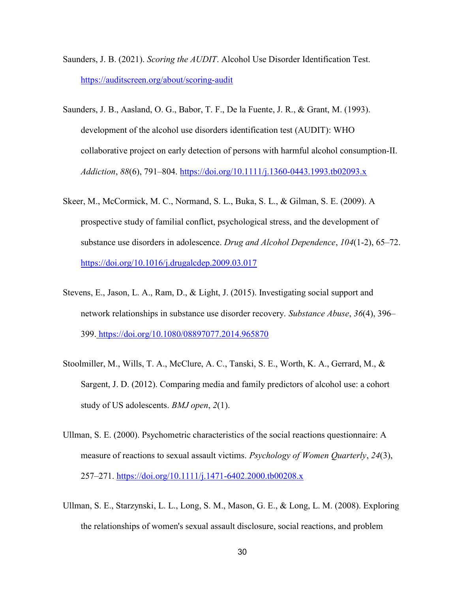- Saunders, J. B. (2021). Scoring the AUDIT. Alcohol Use Disorder Identification Test. https://auditscreen.org/about/scoring-audit
- Saunders, J. B., Aasland, O. G., Babor, T. F., De la Fuente, J. R., & Grant, M. (1993). development of the alcohol use disorders identification test (AUDIT): WHO collaborative project on early detection of persons with harmful alcohol consumption-II. Addiction, 88(6), 791–804. https://doi.org/10.1111/j.1360-0443.1993.tb02093.x
- Skeer, M., McCormick, M. C., Normand, S. L., Buka, S. L., & Gilman, S. E. (2009). A prospective study of familial conflict, psychological stress, and the development of substance use disorders in adolescence. Drug and Alcohol Dependence, 104(1-2), 65–72. https://doi.org/10.1016/j.drugalcdep.2009.03.017
- Stevens, E., Jason, L. A., Ram, D., & Light, J. (2015). Investigating social support and network relationships in substance use disorder recovery. Substance Abuse, 36(4), 396– 399. https://doi.org/10.1080/08897077.2014.965870
- Stoolmiller, M., Wills, T. A., McClure, A. C., Tanski, S. E., Worth, K. A., Gerrard, M., & Sargent, J. D. (2012). Comparing media and family predictors of alcohol use: a cohort study of US adolescents. *BMJ open*, 2(1).
- Ullman, S. E. (2000). Psychometric characteristics of the social reactions questionnaire: A measure of reactions to sexual assault victims. Psychology of Women Quarterly, 24(3), 257–271. https://doi.org/10.1111/j.1471-6402.2000.tb00208.x
- Ullman, S. E., Starzynski, L. L., Long, S. M., Mason, G. E., & Long, L. M. (2008). Exploring the relationships of women's sexual assault disclosure, social reactions, and problem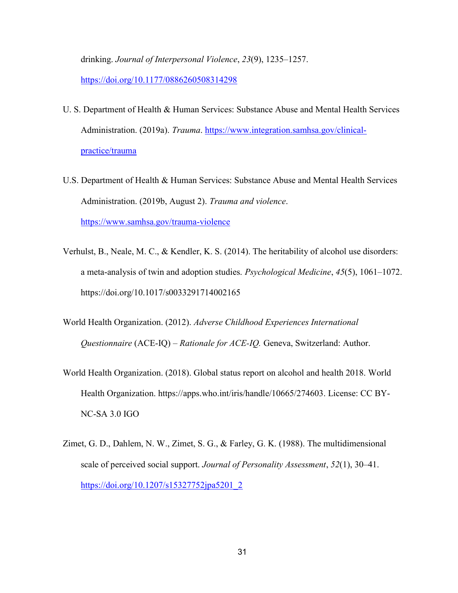drinking. Journal of Interpersonal Violence, 23(9), 1235–1257. https://doi.org/10.1177/0886260508314298

- U. S. Department of Health & Human Services: Substance Abuse and Mental Health Services Administration. (2019a). Trauma. https://www.integration.samhsa.gov/clinicalpractice/trauma
- U.S. Department of Health & Human Services: Substance Abuse and Mental Health Services Administration. (2019b, August 2). Trauma and violence. https://www.samhsa.gov/trauma-violence
- Verhulst, B., Neale, M. C., & Kendler, K. S. (2014). The heritability of alcohol use disorders: a meta-analysis of twin and adoption studies. Psychological Medicine, 45(5), 1061–1072. https://doi.org/10.1017/s0033291714002165
- World Health Organization. (2012). Adverse Childhood Experiences International Questionnaire (ACE-IQ) – Rationale for ACE-IQ. Geneva, Switzerland: Author.
- World Health Organization. (2018). Global status report on alcohol and health 2018. World Health Organization. https://apps.who.int/iris/handle/10665/274603. License: CC BY-NC-SA 3.0 IGO
- Zimet, G. D., Dahlem, N. W., Zimet, S. G., & Farley, G. K. (1988). The multidimensional scale of perceived social support. Journal of Personality Assessment, 52(1), 30–41. https://doi.org/10.1207/s15327752jpa5201\_2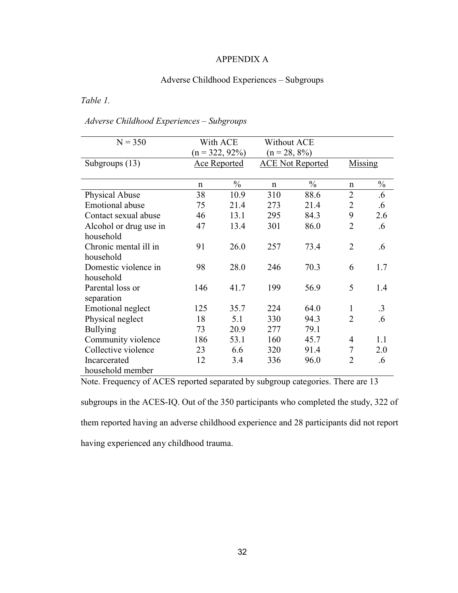## APPENDIX A

# Adverse Childhood Experiences – Subgroups

Table 1.

# Adverse Childhood Experiences – Subgroups

| $N = 350$                | With ACE<br>$(n = 322, 92\%)$ |               | Without ACE<br>$(n = 28, 8\%)$ |               |                |               |
|--------------------------|-------------------------------|---------------|--------------------------------|---------------|----------------|---------------|
| Subgroups (13)           | <b>Ace Reported</b>           |               | <b>ACE Not Reported</b>        |               | Missing        |               |
|                          | n                             | $\frac{0}{0}$ | $\mathsf{n}$                   | $\frac{0}{0}$ | n              | $\frac{0}{0}$ |
| <b>Physical Abuse</b>    | 38                            | 10.9          | 310                            | 88.6          | $\overline{2}$ | .6            |
| <b>Emotional</b> abuse   | 75                            | 21.4          | 273                            | 21.4          | $\overline{2}$ | .6            |
| Contact sexual abuse     | 46                            | 13.1          | 295                            | 84.3          | 9              | 2.6           |
| Alcohol or drug use in   | 47                            | 13.4          | 301                            | 86.0          | $\overline{2}$ | .6            |
| household                |                               |               |                                |               |                |               |
| Chronic mental ill in    | 91                            | 26.0          | 257                            | 73.4          | $\overline{2}$ | .6            |
| household                |                               |               |                                |               |                |               |
| Domestic violence in     | 98                            | 28.0          | 246                            | 70.3          | 6              | 1.7           |
| household                |                               |               |                                |               |                |               |
| Parental loss or         | 146                           | 41.7          | 199                            | 56.9          | 5              | 1.4           |
| separation               |                               |               |                                |               |                |               |
| <b>Emotional neglect</b> | 125                           | 35.7          | 224                            | 64.0          | $\mathbf{1}$   | $\cdot$ 3     |
| Physical neglect         | 18                            | 5.1           | 330                            | 94.3          | $\overline{2}$ | .6            |
| <b>Bullying</b>          | 73                            | 20.9          | 277                            | 79.1          |                |               |
| Community violence       | 186                           | 53.1          | 160                            | 45.7          | 4              | 1.1           |
| Collective violence      | 23                            | 6.6           | 320                            | 91.4          | 7              | 2.0           |
| Incarcerated             | 12                            | 3.4           | 336                            | 96.0          | $\overline{2}$ | .6            |
| household member         |                               |               |                                |               |                |               |

Note. Frequency of ACES reported separated by subgroup categories. There are 13

subgroups in the ACES-IQ. Out of the 350 participants who completed the study, 322 of them reported having an adverse childhood experience and 28 participants did not report having experienced any childhood trauma.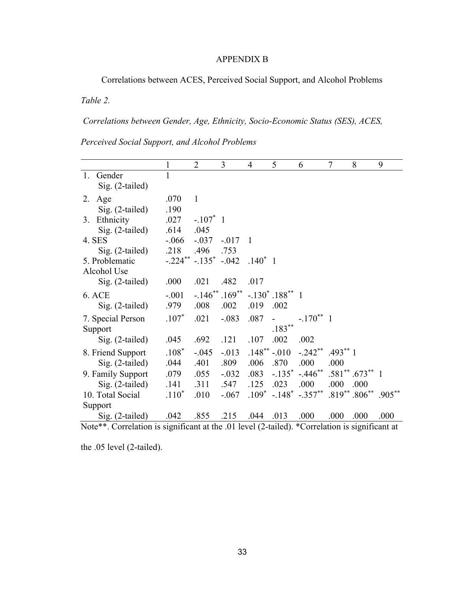# APPENDIX B

Correlations between ACES, Perceived Social Support, and Alcohol Problems

Table 2.

Correlations between Gender, Age, Ethnicity, Socio-Economic Status (SES), ACES,

Perceived Social Support, and Alcohol Problems

|                                                                                     | 1          | $\overline{2}$             | 3                     | $\overline{4}$ | 5                              | 6                                | 7    | 8                     | 9         |
|-------------------------------------------------------------------------------------|------------|----------------------------|-----------------------|----------------|--------------------------------|----------------------------------|------|-----------------------|-----------|
| 1.<br>Gender                                                                        | 1          |                            |                       |                |                                |                                  |      |                       |           |
| Sig. (2-tailed)                                                                     |            |                            |                       |                |                                |                                  |      |                       |           |
| Age<br>2.                                                                           | .070       | $\mathbf{1}$               |                       |                |                                |                                  |      |                       |           |
| $Sig. (2-tailed)$                                                                   | .190       |                            |                       |                |                                |                                  |      |                       |           |
| Ethnicity<br>3.                                                                     | .027       | $-.107^*$ 1                |                       |                |                                |                                  |      |                       |           |
| Sig. (2-tailed)                                                                     | .614       | .045                       |                       |                |                                |                                  |      |                       |           |
| 4. SES                                                                              | $-0.066$   | $-.037$                    | $-.017$               | $\overline{1}$ |                                |                                  |      |                       |           |
| $Sig. (2-tailed)$                                                                   | .218       | .496                       | .753                  |                |                                |                                  |      |                       |           |
| 5. Problematic                                                                      |            | $-.224^{**}-.135^{*}-.042$ |                       | $.140^*$ 1     |                                |                                  |      |                       |           |
| Alcohol Use                                                                         |            |                            |                       |                |                                |                                  |      |                       |           |
| Sig. (2-tailed)                                                                     | .000       | .021                       | .482                  | .017           |                                |                                  |      |                       |           |
| <b>6. ACE</b>                                                                       | $-.001$    |                            | $-.146^{**}.169^{**}$ |                | $-.130^*$ .188 <sup>**</sup> 1 |                                  |      |                       |           |
| Sig. (2-tailed)                                                                     | .979       | .008                       | .002                  | .019           | .002                           |                                  |      |                       |           |
| 7. Special Person                                                                   | $.107*$    | .021                       | $-.083$               | .087           |                                | $-.170**1$                       |      |                       |           |
| Support                                                                             |            |                            |                       |                | $.183***$                      |                                  |      |                       |           |
| $Sig. (2-tailed)$                                                                   | .045       | .692                       | .121                  | .107           | .002                           | .002                             |      |                       |           |
| 8. Friend Support                                                                   | $.108*$    | $-.045$                    | $-.013$               | $.148***-.010$ |                                | $-.242$ ** .493 ** 1             |      |                       |           |
| Sig. (2-tailed)                                                                     | .044       | .401                       | .809                  | .006           | .870                           | .000                             | .000 |                       |           |
| 9. Family Support                                                                   | .079       | .055                       | $-.032$               | .083           | $-.135$ *                      | $-.446$ **                       |      | $.581$ ** $.673$ ** 1 |           |
| Sig. (2-tailed)                                                                     | .141       | .311                       | .547                  | .125           | .023                           | .000                             | .000 | .000                  |           |
| 10. Total Social                                                                    | $.110*$    | .010                       | $-.067$               | $.109*$        | $-.148$ <sup>*</sup>           | $-.357$ **                       |      | $.819***306***$       | $.905***$ |
| Support                                                                             |            |                            |                       |                |                                |                                  |      |                       |           |
| Sig. (2-tailed)<br>$\mathbf{M}$ $\mathbf{A}$ $\mathbf{A}$ $\mathbf{B}$ $\mathbf{A}$ | .042<br>م. | .855                       | .215<br>$\wedge$ 1 1  | .044           | .013<br>$1/2$ $1 \quad 1$      | .000<br>$\overline{\phantom{a}}$ | .000 | .000<br>م.            | .000      |

Note\*\*. Correlation is significant at the .01 level (2-tailed). \*Correlation is significant at

the .05 level (2-tailed).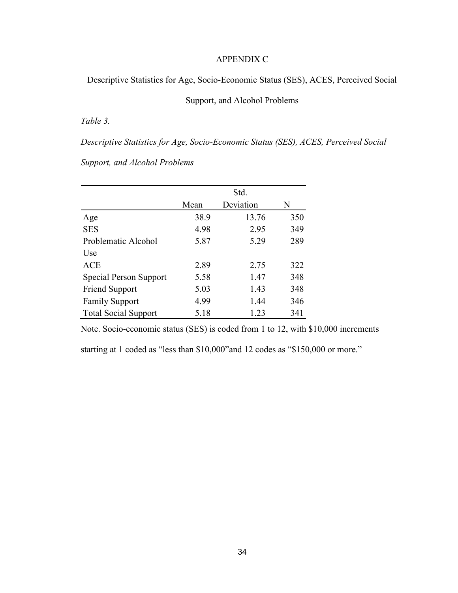## APPENDIX C

Descriptive Statistics for Age, Socio-Economic Status (SES), ACES, Perceived Social

# Support, and Alcohol Problems

Table 3.

Descriptive Statistics for Age, Socio-Economic Status (SES), ACES, Perceived Social

Support, and Alcohol Problems

|                             | Std. |           |     |  |
|-----------------------------|------|-----------|-----|--|
|                             | Mean | Deviation | N   |  |
| Age                         | 38.9 | 13.76     | 350 |  |
| <b>SES</b>                  | 4.98 | 2.95      | 349 |  |
| Problematic Alcohol         | 5.87 | 5.29      | 289 |  |
| Use                         |      |           |     |  |
| <b>ACE</b>                  | 2.89 | 2.75      | 322 |  |
| Special Person Support      | 5.58 | 1.47      | 348 |  |
| <b>Friend Support</b>       | 5.03 | 1.43      | 348 |  |
| <b>Family Support</b>       | 4.99 | 1.44      | 346 |  |
| <b>Total Social Support</b> | 5.18 | 1.23      | 341 |  |

Note. Socio-economic status (SES) is coded from 1 to 12, with \$10,000 increments

starting at 1 coded as "less than \$10,000"and 12 codes as "\$150,000 or more."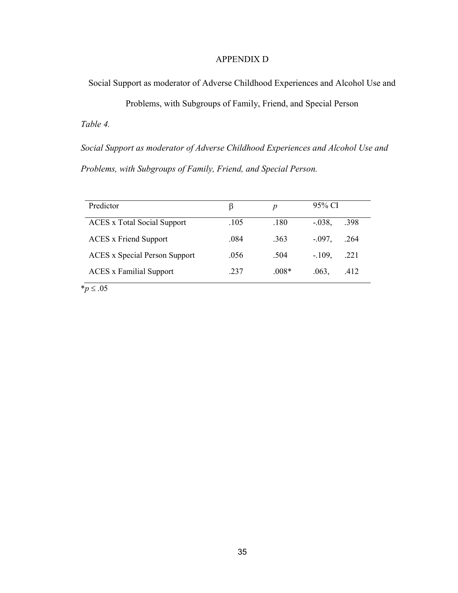# APPENDIX D

Social Support as moderator of Adverse Childhood Experiences and Alcohol Use and

Problems, with Subgroups of Family, Friend, and Special Person Table 4.

Social Support as moderator of Adverse Childhood Experiences and Alcohol Use and Problems, with Subgroups of Family, Friend, and Special Person.

| Predictor                            | β    | Ŋ       | 95% CI            |
|--------------------------------------|------|---------|-------------------|
| <b>ACES</b> x Total Social Support   | .105 | .180    | $-0.038,$<br>.398 |
| <b>ACES</b> x Friend Support         | .084 | .363    | $-.097,$<br>.264  |
| <b>ACES</b> x Special Person Support | .056 | .504    | $-.109,$<br>.221  |
| <b>ACES</b> x Familial Support       | .237 | $.008*$ | .412<br>.063,     |

 $**p* \le .05$